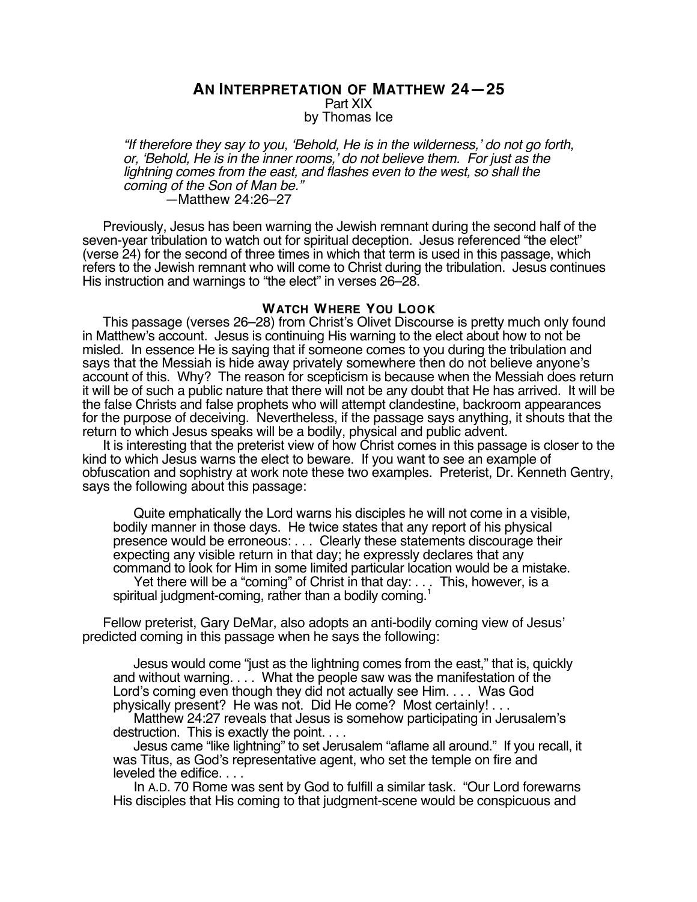## **AN INTERPRETATION OF MATTHEW 24—25** Part XIX by Thomas Ice

"If therefore they say to you, 'Behold, He is in the wilderness,' do not go forth, or, 'Behold, He is in the inner rooms,' do not believe them. For just as the lightning comes from the east, and flashes even to the west, so shall the coming of the Son of Man be." —Matthew 24:26–27

Previously, Jesus has been warning the Jewish remnant during the second half of the seven-year tribulation to watch out for spiritual deception. Jesus referenced "the elect" (verse 24) for the second of three times in which that term is used in this passage, which refers to the Jewish remnant who will come to Christ during the tribulation. Jesus continues His instruction and warnings to "the elect" in verses 26–28.

## **WATCH WHERE YOU LOOK**

This passage (verses 26–28) from Christ's Olivet Discourse is pretty much only found in Matthew's account. Jesus is continuing His warning to the elect about how to not be misled. In essence He is saying that if someone comes to you during the tribulation and says that the Messiah is hide away privately somewhere then do not believe anyone's account of this. Why? The reason for scepticism is because when the Messiah does return it will be of such a public nature that there will not be any doubt that He has arrived. It will be the false Christs and false prophets who will attempt clandestine, backroom appearances for the purpose of deceiving. Nevertheless, if the passage says anything, it shouts that the return to which Jesus speaks will be a bodily, physical and public advent.

It is interesting that the preterist view of how Christ comes in this passage is closer to the kind to which Jesus warns the elect to beware. If you want to see an example of obfuscation and sophistry at work note these two examples. Preterist, Dr. Kenneth Gentry, says the following about this passage:

Quite emphatically the Lord warns his disciples he will not come in a visible, bodily manner in those days. He twice states that any report of his physical presence would be erroneous: . . . Clearly these statements discourage their expecting any visible return in that day; he expressly declares that any command to look for Him in some limited particular location would be a mistake. Yet there will be a "coming" of Christ in that day: . . . This, however, is a spiritual judgment-coming, rather than a bodily coming.<sup>1</sup>

Fellow preterist, Gary DeMar, also adopts an anti-bodily coming view of Jesus' predicted coming in this passage when he says the following:

Jesus would come "just as the lightning comes from the east," that is, quickly and without warning. . . . What the people saw was the manifestation of the Lord's coming even though they did not actually see Him. . . . Was God physically present? He was not. Did He come? Most certainly! . . .

Matthew 24:27 reveals that Jesus is somehow participating in Jerusalem's destruction. This is exactly the point. . . .

Jesus came "like lightning" to set Jerusalem "aflame all around." If you recall, it was Titus, as God's representative agent, who set the temple on fire and leveled the edifice. . . .

In A.D. 70 Rome was sent by God to fulfill a similar task. "Our Lord forewarns His disciples that His coming to that judgment-scene would be conspicuous and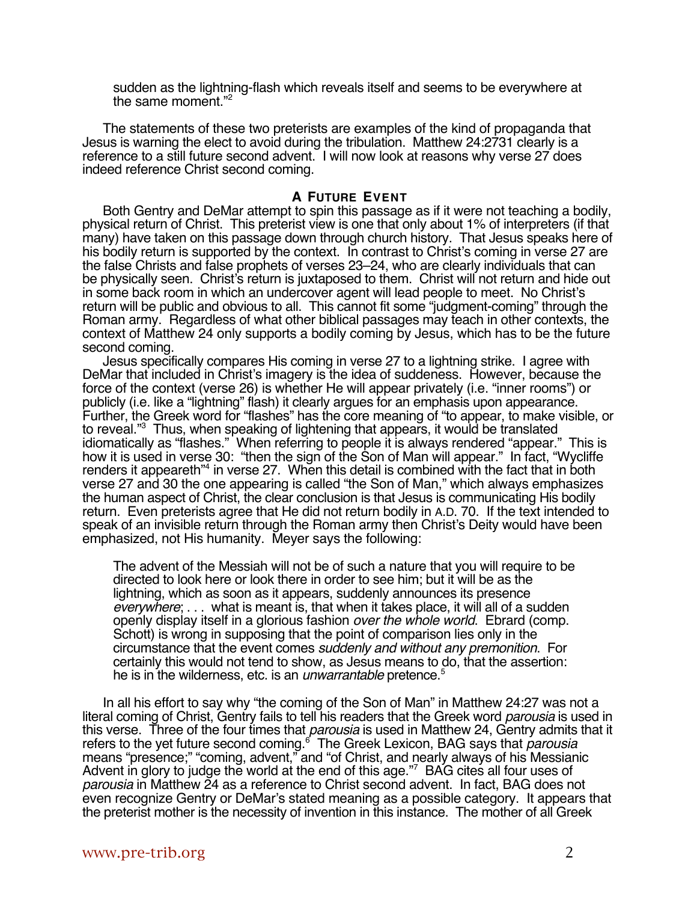sudden as the lightning-flash which reveals itself and seems to be everywhere at the same moment."2

The statements of these two preterists are examples of the kind of propaganda that Jesus is warning the elect to avoid during the tribulation. Matthew 24:2731 clearly is a reference to a still future second advent. I will now look at reasons why verse 27 does indeed reference Christ second coming.

## **A FUTURE EVENT**

Both Gentry and DeMar attempt to spin this passage as if it were not teaching a bodily, physical return of Christ. This preterist view is one that only about 1% of interpreters (if that many) have taken on this passage down through church history. That Jesus speaks here of his bodily return is supported by the context. In contrast to Christ's coming in verse 27 are the false Christs and false prophets of verses 23–24, who are clearly individuals that can be physically seen. Christ's return is juxtaposed to them. Christ will not return and hide out in some back room in which an undercover agent will lead people to meet. No Christ's return will be public and obvious to all. This cannot fit some "judgment-coming" through the Roman army. Regardless of what other biblical passages may teach in other contexts, the context of Matthew 24 only supports a bodily coming by Jesus, which has to be the future second coming.

Jesus specifically compares His coming in verse 27 to a lightning strike. I agree with DeMar that included in Christ's imagery is the idea of suddeness. However, because the force of the context (verse 26) is whether He will appear privately (i.e. "inner rooms") or publicly (i.e. like a "lightning" flash) it clearly argues for an emphasis upon appearance. Further, the Greek word for "flashes" has the core meaning of "to appear, to make visible, or to reveal."3 Thus, when speaking of lightening that appears, it would be translated idiomatically as "flashes." When referring to people it is always rendered "appear." This is how it is used in verse 30: "then the sign of the Son of Man will appear." In fact, "Wycliffe renders it appeareth"<sup>4</sup> in verse 27. When this detail is combined with the fact that in both verse 27 and 30 the one appearing is called "the Son of Man," which always emphasizes the human aspect of Christ, the clear conclusion is that Jesus is communicating His bodily return. Even preterists agree that He did not return bodily in A.D. 70. If the text intended to speak of an invisible return through the Roman army then Christ's Deity would have been emphasized, not His humanity. Meyer says the following:

The advent of the Messiah will not be of such a nature that you will require to be directed to look here or look there in order to see him; but it will be as the lightning, which as soon as it appears, suddenly announces its presence everywhere; . . . what is meant is, that when it takes place, it will all of a sudden openly display itself in a glorious fashion over the whole world. Ebrard (comp. Schott) is wrong in supposing that the point of comparison lies only in the circumstance that the event comes suddenly and without any premonition. For certainly this would not tend to show, as Jesus means to do, that the assertion: he is in the wilderness, etc. is an *unwarrantable* pretence.<sup>5</sup>

In all his effort to say why "the coming of the Son of Man" in Matthew 24:27 was not a literal coming of Christ, Gentry fails to tell his readers that the Greek word *parousia* is used in this verse. Three of the four times that *parousia* is used in Matthew 24, Gentry admits that it refers to the yet future second coming.<sup>6</sup> The Greek Lexicon, BAG says that *parousia* means "presence;" "coming, advent," and "of Christ, and nearly always of his Messianic Advent in glory to judge the world at the end of this age."7 BAG cites all four uses of parousia in Matthew 24 as a reference to Christ second advent. In fact, BAG does not even recognize Gentry or DeMar's stated meaning as a possible category. It appears that the preterist mother is the necessity of invention in this instance. The mother of all Greek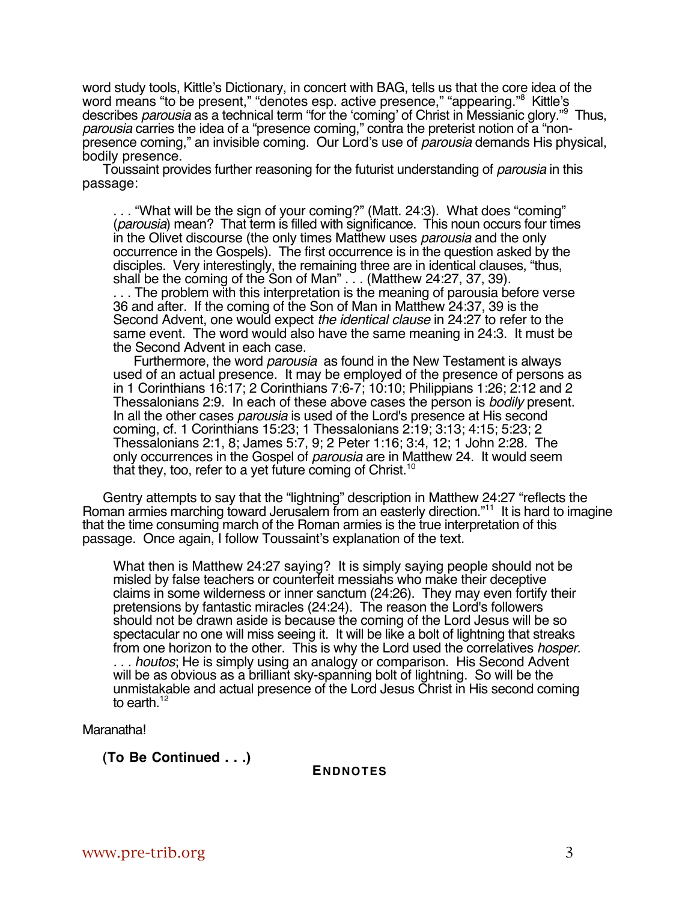word study tools, Kittle's Dictionary, in concert with BAG, tells us that the core idea of the word means "to be present," "denotes esp. active presence," "appearing."<sup>8</sup> Kittle's describes *parousia* as a technical term "for the 'coming' of Christ in Messianic glory."<sup>9</sup> Thus, parousia carries the idea of a "presence coming," contra the preterist notion of a "nonpresence coming," an invisible coming. Our Lord's use of *parousia* demands His physical, bodily presence.

Toussaint provides further reasoning for the futurist understanding of *parousia* in this passage:

. . . "What will be the sign of your coming?" (Matt. 24:3). What does "coming" (parousia) mean? That term is filled with significance. This noun occurs four times in the Olivet discourse (the only times Matthew uses parousia and the only occurrence in the Gospels). The first occurrence is in the question asked by the disciples. Very interestingly, the remaining three are in identical clauses, "thus, shall be the coming of the Son of Man" . . . (Matthew 24:27, 37, 39).

. . . The problem with this interpretation is the meaning of parousia before verse 36 and after. If the coming of the Son of Man in Matthew 24:37, 39 is the Second Advent, one would expect the identical clause in 24:27 to refer to the same event. The word would also have the same meaning in 24:3. It must be the Second Advent in each case.

Furthermore, the word *parousia* as found in the New Testament is always used of an actual presence. It may be employed of the presence of persons as in 1 Corinthians 16:17; 2 Corinthians 7:6-7; 10:10; Philippians 1:26; 2:12 and 2 Thessalonians 2:9. In each of these above cases the person is bodily present. In all the other cases *parousia* is used of the Lord's presence at His second coming, cf. 1 Corinthians 15:23; 1 Thessalonians 2:19; 3:13; 4:15; 5:23; 2 Thessalonians 2:1, 8; James 5:7, 9; 2 Peter 1:16; 3:4, 12; 1 John 2:28. The only occurrences in the Gospel of *parousia* are in Matthew 24. It would seem that they, too, refer to a yet future coming of Christ.<sup>10</sup>

Gentry attempts to say that the "lightning" description in Matthew 24:27 "reflects the Roman armies marching toward Jerusalem from an easterly direction."<sup>11</sup> It is hard to imagine that the time consuming march of the Roman armies is the true interpretation of this passage. Once again, I follow Toussaint's explanation of the text.

What then is Matthew 24:27 saying? It is simply saying people should not be misled by false teachers or counterfeit messiahs who make their deceptive claims in some wilderness or inner sanctum (24:26). They may even fortify their pretensions by fantastic miracles (24:24). The reason the Lord's followers should not be drawn aside is because the coming of the Lord Jesus will be so spectacular no one will miss seeing it. It will be like a bolt of lightning that streaks from one horizon to the other. This is why the Lord used the correlatives hosper. ... houtos; He is simply using an analogy or comparison. His Second Advent will be as obvious as a brilliant sky-spanning bolt of lightning. So will be the unmistakable and actual presence of the Lord Jesus Christ in His second coming to earth. $12$ 

Maranatha!

**(To Be Continued . . .)**

**ENDNOTES**